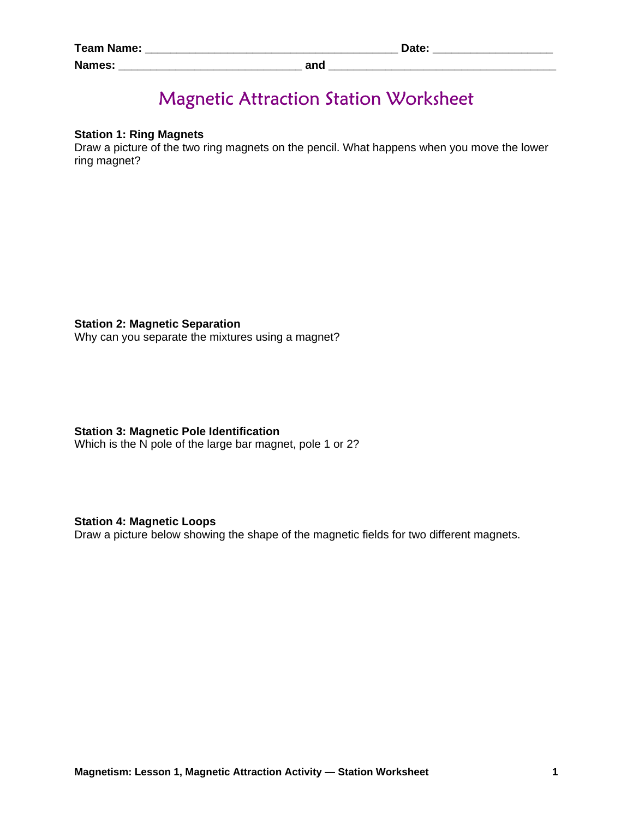| <b>Team Name:</b> |            | Date: |
|-------------------|------------|-------|
| <b>Names:</b>     | and<br>anu |       |

# Magnetic Attraction Station Worksheet

## **Station 1: Ring Magnets**

Draw a picture of the two ring magnets on the pencil. What happens when you move the lower ring magnet?

## **Station 2: Magnetic Separation**

Why can you separate the mixtures using a magnet?

## **Station 3: Magnetic Pole Identification**

Which is the N pole of the large bar magnet, pole 1 or 2?

## **Station 4: Magnetic Loops**

Draw a picture below showing the shape of the magnetic fields for two different magnets.